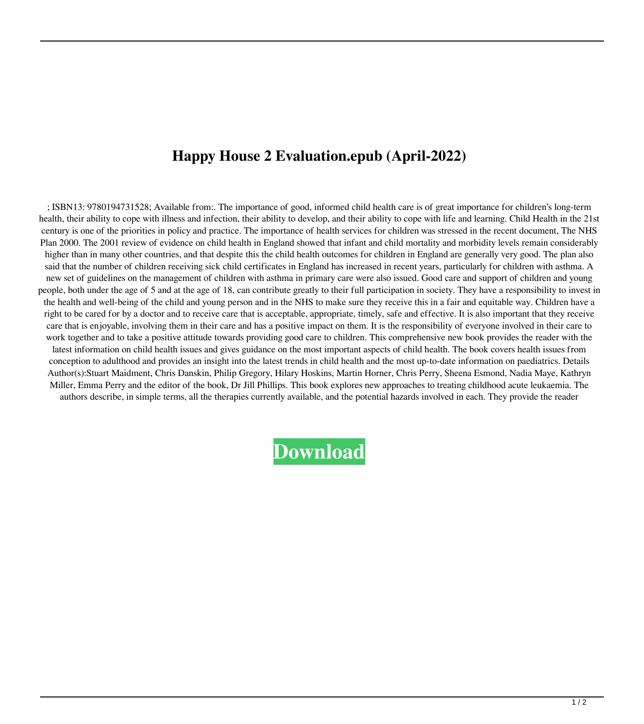## **Happy House 2 Evaluation.epub (April-2022)**

; ISBN13: 9780194731528; Available from:. The importance of good, informed child health care is of great importance for children's long-term health, their ability to cope with illness and infection, their ability to develop, and their ability to cope with life and learning. Child Health in the 21st century is one of the priorities in policy and practice. The importance of health services for children was stressed in the recent document, The NHS Plan 2000. The 2001 review of evidence on child health in England showed that infant and child mortality and morbidity levels remain considerably higher than in many other countries, and that despite this the child health outcomes for children in England are generally very good. The plan also said that the number of children receiving sick child certificates in England has increased in recent years, particularly for children with asthma. A new set of guidelines on the management of children with asthma in primary care were also issued. Good care and support of children and young people, both under the age of 5 and at the age of 18, can contribute greatly to their full participation in society. They have a responsibility to invest in the health and well-being of the child and young person and in the NHS to make sure they receive this in a fair and equitable way. Children have a right to be cared for by a doctor and to receive care that is acceptable, appropriate, timely, safe and effective. It is also important that they receive care that is enjoyable, involving them in their care and has a positive impact on them. It is the responsibility of everyone involved in their care to work together and to take a positive attitude towards providing good care to children. This comprehensive new book provides the reader with the latest information on child health issues and gives guidance on the most important aspects of child health. The book covers health issues from conception to adulthood and provides an insight into the latest trends in child health and the most up-to-date information on paediatrics. Details Author(s):Stuart Maidment, Chris Danskin, Philip Gregory, Hilary Hoskins, Martin Horner, Chris Perry, Sheena Esmond, Nadia Maye, Kathryn Miller, Emma Perry and the editor of the book, Dr Jill Phillips. This book explores new approaches to treating childhood acute leukaemia. The authors describe, in simple terms, all the therapies currently available, and the potential hazards involved in each. They provide the reader